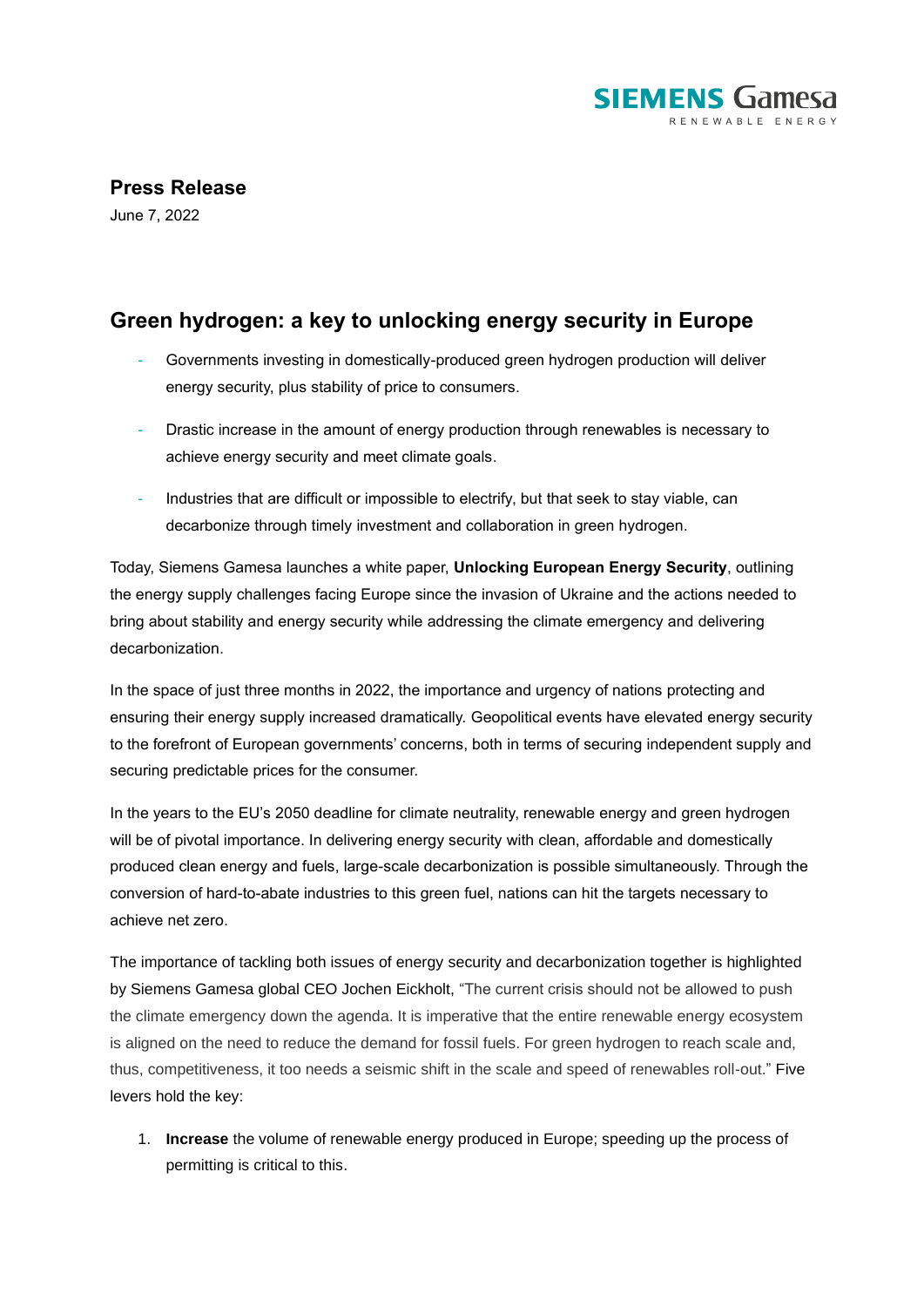

## **Press Release**

June 7, 2022

## **Green hydrogen: a key to unlocking energy security in Europe**

- Governments investing in domestically-produced green hydrogen production will deliver energy security, plus stability of price to consumers.
- Drastic increase in the amount of energy production through renewables is necessary to achieve energy security and meet climate goals.
- Industries that are difficult or impossible to electrify, but that seek to stay viable, can decarbonize through timely investment and collaboration in green hydrogen.

Today, Siemens Gamesa launches a white paper, **Unlocking European Energy Security**, outlining the energy supply challenges facing Europe since the invasion of Ukraine and the actions needed to bring about stability and energy security while addressing the climate emergency and delivering decarbonization.

In the space of just three months in 2022, the importance and urgency of nations protecting and ensuring their energy supply increased dramatically. Geopolitical events have elevated energy security to the forefront of European governments' concerns, both in terms of securing independent supply and securing predictable prices for the consumer.

In the years to the EU's 2050 deadline for climate neutrality, renewable energy and green hydrogen will be of pivotal importance. In delivering energy security with clean, affordable and domestically produced clean energy and fuels, large-scale decarbonization is possible simultaneously. Through the conversion of hard-to-abate industries to this green fuel, nations can hit the targets necessary to achieve net zero.

The importance of tackling both issues of energy security and decarbonization together is highlighted by Siemens Gamesa global CEO Jochen Eickholt, "The current crisis should not be allowed to push the climate emergency down the agenda. It is imperative that the entire renewable energy ecosystem is aligned on the need to reduce the demand for fossil fuels. For green hydrogen to reach scale and, thus, competitiveness, it too needs a seismic shift in the scale and speed of renewables roll-out." Five levers hold the key:

1. **Increase** the volume of renewable energy produced in Europe; speeding up the process of permitting is critical to this.